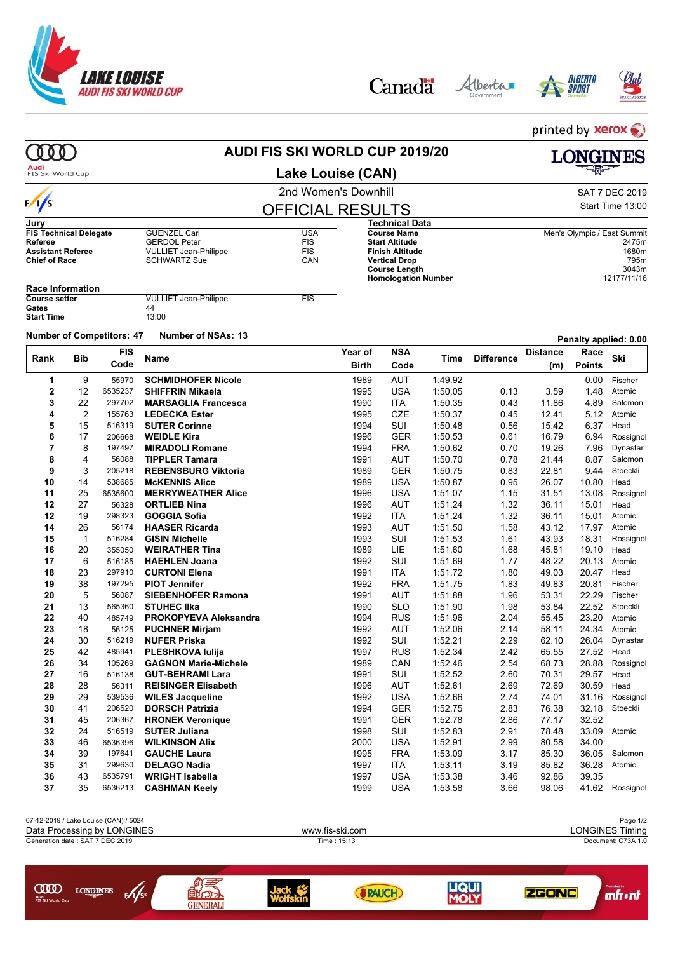







printed by **xerox AUDI FIS SKI WORLD CUP 2019/20** 000 **LONGINES** Audi<br>FIS Ski World Cup **Lake Louise (CAN)** 2nd Women's Downhill and SAT 7 DEC 2019  $\frac{1}{s}$ Start Time 13:00 OFFICIAL RESULTS **Jury Technical Data FIS Technical Delegate** GUENZEL Carl **COUNTER COUNTER COUNTER COUNTER COUNTER COUNTER**<br> **Referee** GERDOL Peter FIS **Course Name** Men's Olympic / East Summit **Referee** GERDOL Peter FIS **Start Altitude** 2475m **Assistant Referee**  $\overline{V}$ VULLIET Jean-Philippe FIS<br> **Chief of Race** SCHWARTZ Sue CAN **Finish Altitude** 1680m **SCHWARTZ Sue Vertical Drop** 795m **Course Length** 3043m **Homologation Number Race Information COULLIET Jean-Philippe FIS**<br>44 Gates 44<br>Start Time 13:00 **Start Time Number of Competitors: <sup>47</sup> Number of NSAs: <sup>13</sup> Penalty applied: 0.00 FIS Year of NSA Distance Race Bib Ski Rank Name Time Difference Code Birth Code Points Points Points (m) 1** 9 55970 **SCHMIDHOFER Nicole** 1989 AUT 1:49.92 0.00 Fischer **2** 12 6535237 **SHIFFRIN Mikaela** 1995 USA 1:50.05 0.13 3.59 1.48 Atomic **3** 22 297702 **MARSAGLIA Francesca** 1990 ITA 1:50.35 0.43 11.86 4.89 Salomon **4** 2 155763 **LEDECKA Ester** 1995 CZE 1:50.37 0.45 12.41 5.12 Atomic **5** 15 516319 **SUTER Corinne** 1994 SUI 1:50.48 0.56 15.42 6.37 Head **6** 17 206668 **WEIDLE Kira** 1996 GER 1:50.53 0.61 16.79 6.94 Rossignol **7** 8 197497 **MIRADOLI Romane** 1994 FRA 1:50.62 0.70 19.26 7.96 Dynastar **8** 4 56088 **TIPPLER Tamara** 1991 AUT 1:50.70 0.78 21.44 8.87 Salomon **9** 3 205218 **REBENSBURG Viktoria** 1989 GER 1:50.75 0.83 22.81 9.44 Stoeckli **10** 14 538685 **McKENNIS Alice** 1989 USA 1:50.87 0.95 26.07 10.80 Head **11** 25 6535600 **MERRYWEATHER Alice** 1996 USA 1:51.07 1.15 31.51 13.08 Rossignol **12** 27 56328 **ORTLIEB Nina** 1996 AUT 1:51.24 1.32 36.11 15.01 Head **12** 19 298323 **GOGGIA Sofia** 1992 ITA 1:51.24 1.32 36.11 15.01 Atomic **14** 26 56174 **HAASER Ricarda** 1993 AUT 1:51.50 1.58 43.12 17.97 Atomic **15** 1 516284 **GISIN Michelle** 1993 SUI 1:51.53 1.61 43.93 18.31 Rossignol **16** 20 355050 **WEIRATHER Tina** 1989 LIE 1:51.60 1.68 45.81 19.10 Head **17** 6 516185 **HAEHLEN Joana** 1992 SUI 1:51.69 1.77 48.22 20.13 Atomic **18** 23 297910 **CURTONI Elena** 1991 **1991 ITA 1:51.72 1.80 49.03 20.47** Head **19** 38 197295 **PIOT Jennifer** 1992 FRA 1:51.75 1.83 49.83 20.81 Fischer **20** 5 56087 **SIEBENHOFER Ramona** 1991 AUT 1:51.88 1.96 53.31 22.29 Fischer **21** 13 565360 **STUHEC Ilka** 1990 SLO 1:51.90 1.98 53.84 22.52 Stoeckli **22** 40 485749 **PROKOPYEVA Aleksandra** 1994 RUS 1:51.96 2.04 55.45 23.20 Atomic **23** 18 56125 **PUCHNER Mirjam** 1992 AUT 1:52.06 2.14 58.11 24.34 Atomic **24** 30 516219 **NUFER Priska** 1992 SUI 1:52.21 2.29 62.10 26.04 Dynastar **25** 42 485941 **PLESHKOVA Iulija** 1997 RUS 1:52.34 2.42 65.55 27.52 Head **26** 34 105269 **GAGNON Marie-Michele** 1989 CAN 1:52.46 2.54 68.73 28.88 Rossignol **27** 16 516138 **GUT-BEHRAMI Lara** 1991 SUI 1:52.52 2.60 70.31 29.57 Head **28** 28 56311 **REISINGER Elisabeth** 1996 AUT 1:52.61 2.69 72.69 30.59 Head **29** 29 539536 **WILES Jacqueline** 1992 USA 1:52.66 2.74 74.01 31.16 Rossignol **30** 41 206520 **DORSCH Patrizia** 1994 GER 1:52.75 2.83 76.38 32.18 Stoeckli **31** 45 206367 **HRONEK Veronique** 1991 GER 1:52.78 2.86 77.17 32.52 **32** 24 516519 **SUTER Juliana** 1998 SUI 1:52.83 2.91 78.48 33.09 Atomic **33** 46 6536396 **WILKINSON Alix** 2000 USA 1:52.91 2.99 80.58 34.00 **34** 39 197641 **GAUCHE Laura** 1995 FRA 1:53.09 3.17 85.30 36.05 Salomon **35** 31 299630 **DELAGO Nadia** 1997 ITA 1:53.11 3.19 85.82 36.28 Atomic **36** 43 6535791 **WRIGHT Isabella** 1997 USA 1:53.38 3.46 92.86 39.35 **37** 35 6536213 **CASHMAN Keely** 1999 USA 1:53.58 3.66 98.06 41.62 Rossignol